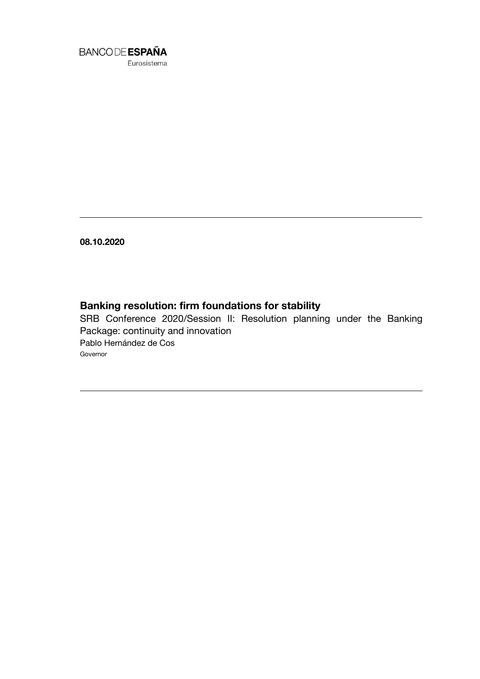

Eurosistema

**08.10.2020**

## **Banking resolution: firm foundations for stability**

SRB Conference 2020/Session II: Resolution planning under the Banking Package: continuity and innovation Pablo Hernández de Cos Governor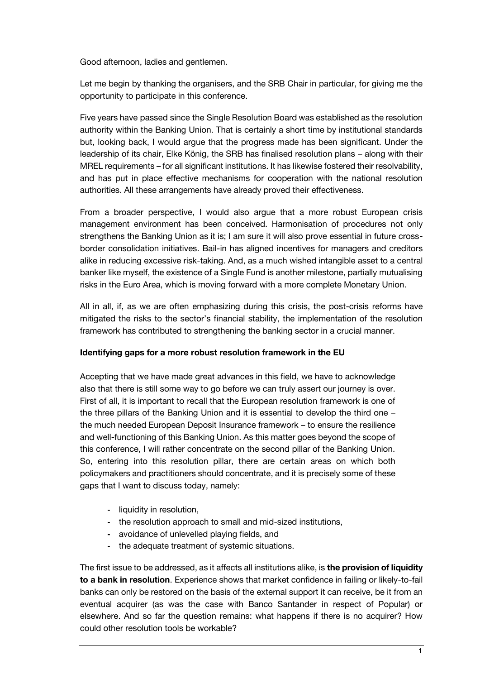Good afternoon, ladies and gentlemen.

Let me begin by thanking the organisers, and the SRB Chair in particular, for giving me the opportunity to participate in this conference.

Five years have passed since the Single Resolution Board was established as the resolution authority within the Banking Union. That is certainly a short time by institutional standards but, looking back, I would argue that the progress made has been significant. Under the leadership of its chair, Elke König, the SRB has finalised resolution plans – along with their MREL requirements – for all significant institutions. It has likewise fostered their resolvability, and has put in place effective mechanisms for cooperation with the national resolution authorities. All these arrangements have already proved their effectiveness.

From a broader perspective, I would also argue that a more robust European crisis management environment has been conceived. Harmonisation of procedures not only strengthens the Banking Union as it is; I am sure it will also prove essential in future crossborder consolidation initiatives. Bail-in has aligned incentives for managers and creditors alike in reducing excessive risk-taking. And, as a much wished intangible asset to a central banker like myself, the existence of a Single Fund is another milestone, partially mutualising risks in the Euro Area, which is moving forward with a more complete Monetary Union.

All in all, if, as we are often emphasizing during this crisis, the post-crisis reforms have mitigated the risks to the sector's financial stability, the implementation of the resolution framework has contributed to strengthening the banking sector in a crucial manner.

## **Identifying gaps for a more robust resolution framework in the EU**

Accepting that we have made great advances in this field, we have to acknowledge also that there is still some way to go before we can truly assert our journey is over. First of all, it is important to recall that the European resolution framework is one of the three pillars of the Banking Union and it is essential to develop the third one – the much needed European Deposit Insurance framework – to ensure the resilience and well-functioning of this Banking Union. As this matter goes beyond the scope of this conference, I will rather concentrate on the second pillar of the Banking Union. So, entering into this resolution pillar, there are certain areas on which both policymakers and practitioners should concentrate, and it is precisely some of these gaps that I want to discuss today, namely:

- **-** liquidity in resolution,
- **-** the resolution approach to small and mid-sized institutions,
- **-** avoidance of unlevelled playing fields, and
- **-** the adequate treatment of systemic situations.

The first issue to be addressed, as it affects all institutions alike, is **the provision of liquidity to a bank in resolution**. Experience shows that market confidence in failing or likely-to-fail banks can only be restored on the basis of the external support it can receive, be it from an eventual acquirer (as was the case with Banco Santander in respect of Popular) or elsewhere. And so far the question remains: what happens if there is no acquirer? How could other resolution tools be workable?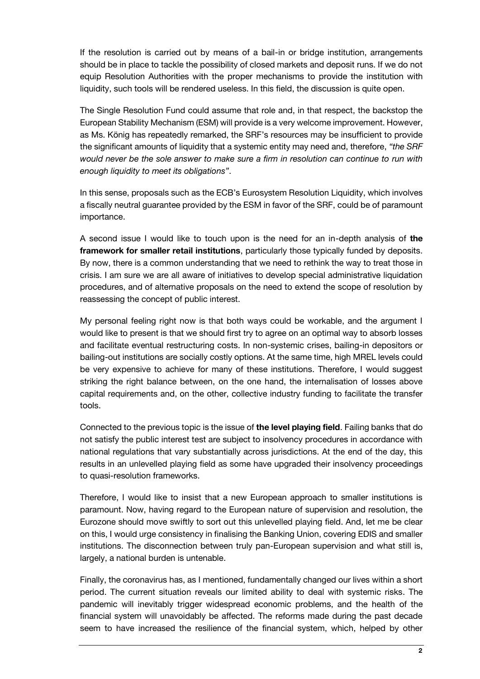If the resolution is carried out by means of a bail-in or bridge institution, arrangements should be in place to tackle the possibility of closed markets and deposit runs. If we do not equip Resolution Authorities with the proper mechanisms to provide the institution with liquidity, such tools will be rendered useless. In this field, the discussion is quite open.

The Single Resolution Fund could assume that role and, in that respect, the backstop the European Stability Mechanism (ESM) will provide is a very welcome improvement. However, as Ms. König has repeatedly remarked, the SRF's resources may be insufficient to provide the significant amounts of liquidity that a systemic entity may need and, therefore, *"the SRF would never be the sole answer to make sure a firm in resolution can continue to run with enough liquidity to meet its obligations"*.

In this sense, proposals such as the ECB's Eurosystem Resolution Liquidity, which involves a fiscally neutral guarantee provided by the ESM in favor of the SRF, could be of paramount importance.

A second issue I would like to touch upon is the need for an in-depth analysis of **the framework for smaller retail institutions**, particularly those typically funded by deposits. By now, there is a common understanding that we need to rethink the way to treat those in crisis. I am sure we are all aware of initiatives to develop special administrative liquidation procedures, and of alternative proposals on the need to extend the scope of resolution by reassessing the concept of public interest.

My personal feeling right now is that both ways could be workable, and the argument I would like to present is that we should first try to agree on an optimal way to absorb losses and facilitate eventual restructuring costs. In non-systemic crises, bailing-in depositors or bailing-out institutions are socially costly options. At the same time, high MREL levels could be very expensive to achieve for many of these institutions. Therefore, I would suggest striking the right balance between, on the one hand, the internalisation of losses above capital requirements and, on the other, collective industry funding to facilitate the transfer tools.

Connected to the previous topic is the issue of **the level playing field**. Failing banks that do not satisfy the public interest test are subject to insolvency procedures in accordance with national regulations that vary substantially across jurisdictions. At the end of the day, this results in an unlevelled playing field as some have upgraded their insolvency proceedings to quasi-resolution frameworks.

Therefore, I would like to insist that a new European approach to smaller institutions is paramount. Now, having regard to the European nature of supervision and resolution, the Eurozone should move swiftly to sort out this unlevelled playing field. And, let me be clear on this, I would urge consistency in finalising the Banking Union, covering EDIS and smaller institutions. The disconnection between truly pan-European supervision and what still is, largely, a national burden is untenable.

Finally, the coronavirus has, as I mentioned, fundamentally changed our lives within a short period. The current situation reveals [our limited ability to deal with systemic risks.](https://www.iass-potsdam.de/en/output/publications/2019/systemic-risks-concepts-and-challenges-risk-governance) The pandemic will inevitably trigger widespread economic problems, and the health of the financial system will unavoidably be affected. The reforms made during the past decade seem to have increased the resilience of the financial system, which, helped by other